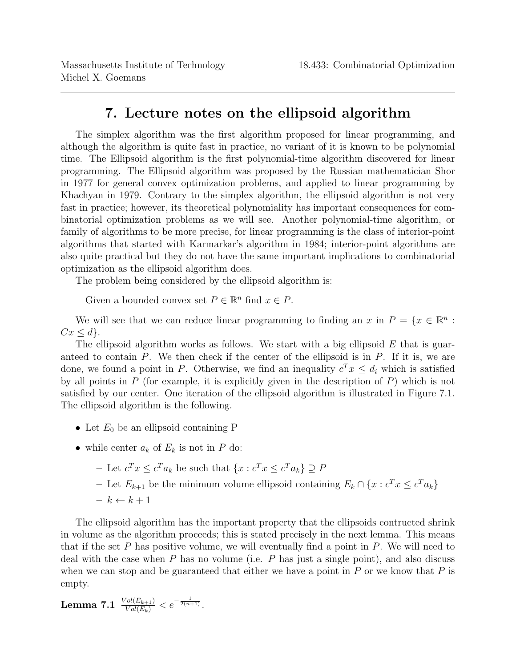The simplex algorithm was the first algorithm proposed for linear programming, and although the algorithm is quite fast in practice, no variant of it is known to be polynomial time. The Ellipsoid algorithm is the first polynomial-time algorithm discovered for linear programming. The Ellipsoid algorithm was proposed by the Russian mathematician Shor in 1977 for general convex optimization problems, and applied to linear programming by Khachyan in 1979. Contrary to the simplex algorithm, the ellipsoid algorithm is not very fast in practice; however, its theoretical polynomiality has important consequences for combinatorial optimization problems as we will see. Another polynomial-time algorithm, or family of algorithms to be more precise, for linear programming is the class of interior-point algorithms that started with Karmarkar's algorithm in 1984; interior-point algorithms are also quite practical but they do not have the same important implications to combinatorial optimization as the ellipsoid algorithm does.

The problem being considered by the ellipsoid algorithm is:

Given a bounded convex set  $P \in \mathbb{R}^n$  find  $x \in P$ .

We will see that we can reduce linear programming to finding an x in  $P = \{x \in \mathbb{R}^n :$  $Cx \leq d$ .

The ellipsoid algorithm works as follows. We start with a big ellipsoid  $E$  that is guaranteed to contain  $P$ . We then check if the center of the ellipsoid is in  $P$ . If it is, we are done, we found a point in P. Otherwise, we find an inequality  $c^T x \leq d_i$  which is satisfied by all points in  $P$  (for example, it is explicitly given in the description of  $P$ ) which is not satisfied by our center. One iteration of the ellipsoid algorithm is illustrated in Figure 7.1. The ellipsoid algorithm is the following.

- Let  $E_0$  be an ellipsoid containing P
- while center  $a_k$  of  $E_k$  is not in P do:
	- Let  $c^T x \leq c^T a_k$  be such that  $\{x : c^T x \leq c^T a_k\} \supseteq P$

– Let  $E_{k+1}$  be the minimum volume ellipsoid containing  $E_k \cap \{x : c^T x \le c^T a_k\}$ 

 $- k \leftarrow k + 1$ 

The ellipsoid algorithm has the important property that the ellipsoids contructed shrink in volume as the algorithm proceeds; this is stated precisely in the next lemma. This means that if the set  $P$  has positive volume, we will eventually find a point in  $P$ . We will need to deal with the case when  $P$  has no volume (i.e.  $P$  has just a single point), and also discuss when we can stop and be guaranteed that either we have a point in  $P$  or we know that  $P$  is empty.

Lemma 7.1  $\frac{Vol(E_{k+1})}{Vol(E_k)} < e^{-\frac{1}{2(n+1)}}$ .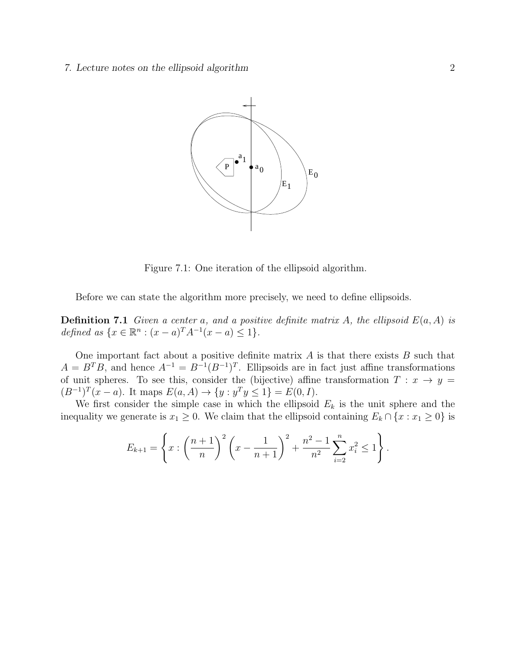

Figure 7.1: One iteration of the ellipsoid algorithm.

Before we can state the algorithm more precisely, we need to define ellipsoids.

 $\overline{z}$  as  $\overline{z}$  as  $\overline{z}$ .  $\mathbb{R}^n$  is  $(x - \epsilon)T A^{-1}(x - \epsilon) \leq 1$ defined as  $\{x \in \mathbb{R}^n : (x - a)^T A^{-1} (x - a) \leq 1\}.$  $\geq 1$  f. **Definition 7.1** Given a center a, and a positive definite matrix A, the ellipsoid  $E(a, A)$  is

One important fact about a positive definite matrix  $A$  is that there exists  $B$  such that  $M = 1$  first consider the simple case in which the unit sphere and the unit sphere and the unit sphere and the unit sphere and the unit sphere and the unit sphere and the unit sphere and the unit sphere and the unit spher  $A = B^T B$ , and hence  $A^{-1} = B^{-1} (B^{-1})^T$ . Ellipsoids are in fact just affine transformations  $E(a, A) \rightarrow \{y\}$ of unit spheres. To see this, consider the (bijective) affine transformation  $T : x \to y =$ n  $\therefore y^T y \le 1$ } =  $E(0,$  $\overline{\mathcal{L}}$  $(B^{-1})^T (x - a)$ . It maps  $E(a, A) \to \{y : y^T y \le 1\} = E(0, I)$ .

We first consider the simple case in which the ellipsoid  $E<sub>k</sub>$  is the unit sphere and the inequality we generate is  $x_1 \geq 0$ . We claim that the ellipsoid containing  $E_k \cap \{x : x_1 \geq 0\}$  is

$$
E_{k+1} = \left\{ x : \left(\frac{n+1}{n}\right)^2 \left(x - \frac{1}{n+1}\right)^2 + \frac{n^2 - 1}{n^2} \sum_{i=2}^n x_i^2 \le 1 \right\}.
$$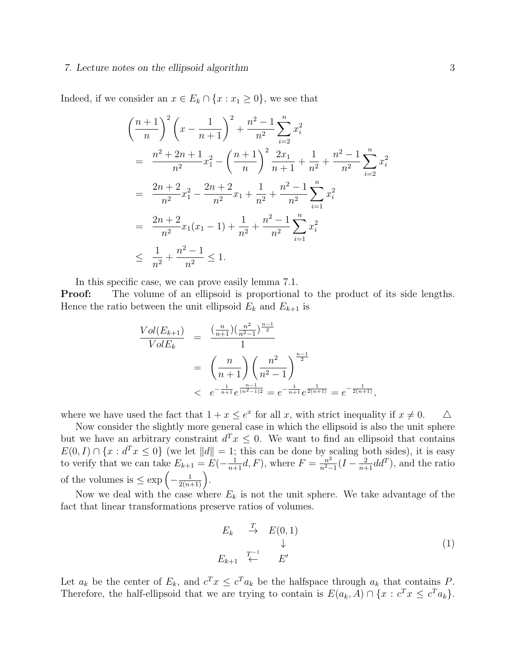Indeed, if we consider an  $x \in E_k \cap \{x : x_1 \geq 0\}$ , we see that

$$
\left(\frac{n+1}{n}\right)^2 \left(x - \frac{1}{n+1}\right)^2 + \frac{n^2 - 1}{n^2} \sum_{i=2}^n x_i^2
$$
\n
$$
= \frac{n^2 + 2n + 1}{n^2} x_1^2 - \left(\frac{n+1}{n}\right)^2 \frac{2x_1}{n+1} + \frac{1}{n^2} + \frac{n^2 - 1}{n^2} \sum_{i=2}^n x_i^2
$$
\n
$$
= \frac{2n + 2}{n^2} x_1^2 - \frac{2n + 2}{n^2} x_1 + \frac{1}{n^2} + \frac{n^2 - 1}{n^2} \sum_{i=1}^n x_i^2
$$
\n
$$
= \frac{2n + 2}{n^2} x_1 (x_1 - 1) + \frac{1}{n^2} + \frac{n^2 - 1}{n^2} \sum_{i=1}^n x_i^2
$$
\n
$$
\leq \frac{1}{n^2} + \frac{n^2 - 1}{n^2} \leq 1.
$$

In this specific case, we can prove easily lemma 7.1.

**Proof:** The volume of an ellipsoid is proportional to the product of its side lengths. Hence the ratio between the unit ellipsoid  $E_k$  and  $E_{k+1}$  is

$$
\frac{Vol(E_{k+1})}{Vol(E_k)} = \frac{\left(\frac{n}{n+1}\right)\left(\frac{n^2}{n^2-1}\right)^{\frac{n-1}{2}}}{1}
$$
\n
$$
= \left(\frac{n}{n+1}\right)\left(\frac{n^2}{n^2-1}\right)^{\frac{n-1}{2}}
$$
\n
$$
< e^{-\frac{1}{n+1}}e^{\frac{n-1}{(n^2-1)2}} = e^{-\frac{1}{n+1}}e^{\frac{1}{2(n+1)}} = e^{-\frac{1}{2(n+1)}},
$$

where we have used the fact that  $1 + x \le e^x$  for all x, with strict inequality if  $x \ne 0$ .  $\triangle$ 

Now consider the slightly more general case in which the ellipsoid is also the unit sphere but we have an arbitrary constraint  $d^T x \leq 0$ . We want to find an ellipsoid that contains  $E(0, I) \cap \{x : d^T x \leq 0\}$  (we let  $||d|| = 1$ ; this can be done by scaling both sides), it is easy to verify that we can take  $E_{k+1} = E(-\frac{1}{n+1}d, F)$ , where  $F = \frac{n^2}{n^2-1}$  $\frac{n^2}{n^2-1}(I-\frac{2}{n+1}dd^T)$ , and the ratio of the volumes is  $\leq \exp\left(-\frac{1}{2(n+1)}\right)$ .

Now we deal with the case where  $E_k$  is not the unit sphere. We take advantage of the fact that linear transformations preserve ratios of volumes.

$$
E_k \xrightarrow{T} E(0,1) \qquad \downarrow
$$
  
\n
$$
E_{k+1} \xleftarrow{T-1} E' \qquad \qquad E'
$$
 (1)

Let  $a_k$  be the center of  $E_k$ , and  $c^T x \leq c^T a_k$  be the halfspace through  $a_k$  that contains P. Therefore, the half-ellipsoid that we are trying to contain is  $E(a_k, A) \cap \{x : c^T x \le c^T a_k\}.$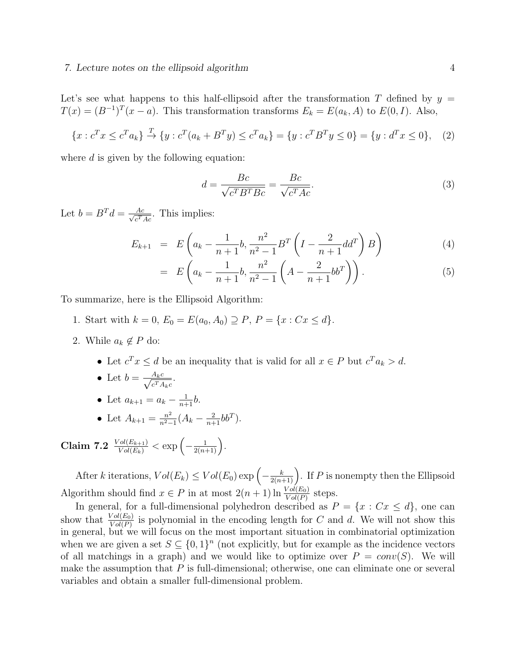Let's see what happens to this half-ellipsoid after the transformation T defined by  $y =$  $T(x) = (B^{-1})^T (x - a)$ . This transformation transforms  $E_k = E(a_k, A)$  to  $E(0, I)$ . Also,

$$
\{x : c^T x \le c^T a_k\} \stackrel{T}{\to} \{y : c^T (a_k + B^T y) \le c^T a_k\} = \{y : c^T B^T y \le 0\} = \{y : d^T x \le 0\}, \quad (2)
$$

where  $d$  is given by the following equation:

$$
d = \frac{Bc}{\sqrt{c^T B^T B c}} = \frac{Bc}{\sqrt{c^T A c}}.\tag{3}
$$

Let  $b = B^T d = \frac{Ac}{\sqrt{a^T}}$  $\frac{Ac}{c^TAc}$ . This implies:

$$
E_{k+1} = E\left(a_k - \frac{1}{n+1}b, \frac{n^2}{n^2 - 1}B^T\left(I - \frac{2}{n+1}dd^T\right)B\right)
$$
(4)

$$
= E\left(a_k - \frac{1}{n+1}b, \frac{n^2}{n^2 - 1}\left(A - \frac{2}{n+1}bb^T\right)\right).
$$
 (5)

To summarize, here is the Ellipsoid Algorithm:

- 1. Start with  $k = 0$ ,  $E_0 = E(a_0, A_0) \supseteq P$ ,  $P = \{x : Cx \leq d\}.$
- 2. While  $a_k \notin P$  do:
	- Let  $c^T x \le d$  be an inequality that is valid for all  $x \in P$  but  $c^T a_k > d$ .
	- Let  $b = \frac{A_k c}{\sqrt{c^T A}}$  $\frac{A_k c}{c^T A_k c}$ .
	- Let  $a_{k+1} = a_k \frac{1}{n+1}b$ .
	- Let  $A_{k+1} = \frac{n^2}{n^2-1}$  $\frac{n^2}{n^2-1}(A_k - \frac{2}{n+1}bb^T).$

Claim 7.2  $\frac{Vol(E_{k+1})}{Vol(E_k)} < \exp\left(-\frac{1}{2(n+1)}\right)$ .

After k iterations,  $Vol(E_k) \leq Vol(E_0) \exp \left(-\frac{k}{2(n+1)}\right)$ . If P is nonempty then the Ellipsoid Algorithm should find  $x \in P$  in at most  $2(n+1) \ln \frac{Vol(E_0)}{Vol(P)}$  steps.

In general, for a full-dimensional polyhedron described as  $P = \{x : Cx \le d\}$ , one can show that  $\frac{Vol(E_0)}{Vol(P)}$  is polynomial in the encoding length for C and d. We will not show this in general, but we will focus on the most important situation in combinatorial optimization when we are given a set  $S \subseteq \{0,1\}^n$  (not explicitly, but for example as the incidence vectors of all matchings in a graph) and we would like to optimize over  $P = conv(S)$ . We will make the assumption that  $P$  is full-dimensional; otherwise, one can eliminate one or several variables and obtain a smaller full-dimensional problem.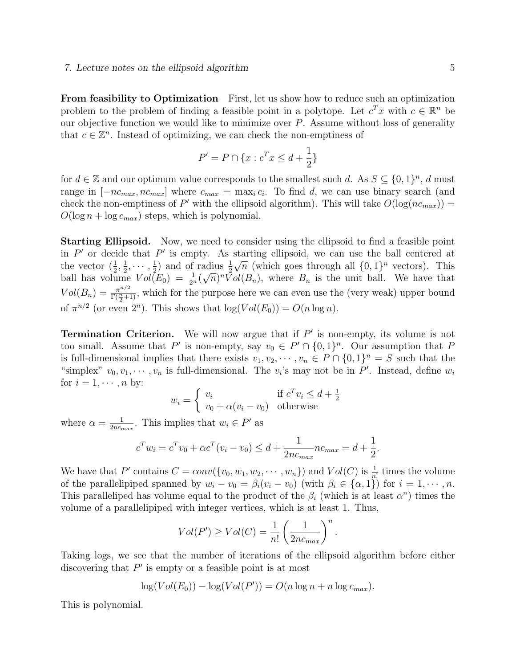From feasibility to Optimization First, let us show how to reduce such an optimization problem to the problem of finding a feasible point in a polytope. Let  $c^T x$  with  $c \in \mathbb{R}^n$  be our objective function we would like to minimize over  $P$ . Assume without loss of generality that  $c \in \mathbb{Z}^n$ . Instead of optimizing, we can check the non-emptiness of

$$
P' = P \cap \{x : c^T x \le d + \frac{1}{2}\}\
$$

for  $d \in \mathbb{Z}$  and our optimum value corresponds to the smallest such d. As  $S \subseteq \{0,1\}^n$ , d must range in  $[-nc_{max}, nc_{max}]$  where  $c_{max} = \max_i c_i$ . To find d, we can use binary search (and check the non-emptiness of P' with the ellipsoid algorithm). This will take  $O(\log(nc_{max}))$  =  $O(\log n + \log c_{max})$  steps, which is polynomial.

Starting Ellipsoid. Now, we need to consider using the ellipsoid to find a feasible point in  $P'$  or decide that  $P'$  is empty. As starting ellipsoid, we can use the ball centered at the vector  $(\frac{1}{2}, \frac{1}{2})$  $\frac{1}{2}, \cdots, \frac{1}{2}$  $(\frac{1}{2})$  and of radius  $\frac{1}{2}$  $\sqrt{n}$  (which goes through all  $\{0,1\}^n$  vectors). This ball has volume  $Vol(E_0) = \frac{1}{2^n} (\sqrt{n})^n Vol(B_n)$ , where  $B_n$  is the unit ball. We have that  $Vol(B_n) = \frac{\pi^{n/2}}{\Gamma(\frac{n}{2})}$  $\frac{\pi^{n/2}}{\Gamma(\frac{n}{2}+1)}$ , which for the purpose here we can even use the (very weak) upper bound of  $\pi^{n/2}$  (or even  $2^n$ ). This shows that  $\log(Vol(E_0)) = O(n \log n)$ .

**Termination Criterion.** We will now argue that if  $P'$  is non-empty, its volume is not too small. Assume that P' is non-empty, say  $v_0 \in P' \cap \{0,1\}^n$ . Our assumption that P is full-dimensional implies that there exists  $v_1, v_2, \dots, v_n \in P \cap \{0,1\}^n = S$  such that the "simplex"  $v_0, v_1, \dots, v_n$  is full-dimensional. The  $v_i$ 's may not be in P'. Instead, define  $w_i$ for  $i = 1, \dots, n$  by:

$$
w_i = \begin{cases} v_i & \text{if } c^T v_i \le d + \frac{1}{2} \\ v_0 + \alpha (v_i - v_0) & \text{otherwise} \end{cases}
$$

where  $\alpha = \frac{1}{2nc}$  $\frac{1}{2nc_{max}}$ . This implies that  $w_i \in P'$  as

$$
c^{T}w_{i} = c^{T}v_{0} + \alpha c^{T}(v_{i} - v_{0}) \le d + \frac{1}{2nc_{max}}nc_{max} = d + \frac{1}{2}.
$$

We have that P' contains  $C = conv({v_0, w_1, w_2, \cdots, w_n})$  and  $Vol(C)$  is  $\frac{1}{n!}$  times the volume of the parallelipiped spanned by  $w_i - v_0 = \beta_i(v_i - v_0)$  (with  $\beta_i \in \{\alpha, 1\}$ ) for  $i = 1, \dots, n$ . This paralleliped has volume equal to the product of the  $\beta_i$  (which is at least  $\alpha^n$ ) times the volume of a parallelipiped with integer vertices, which is at least 1. Thus,

$$
Vol(P') \ge Vol(C) = \frac{1}{n!} \left(\frac{1}{2nc_{max}}\right)^n.
$$

Taking logs, we see that the number of iterations of the ellipsoid algorithm before either discovering that  $P'$  is empty or a feasible point is at most

$$
\log(Vol(E_0)) - \log(Vol(P')) = O(n\log n + n\log c_{max}).
$$

This is polynomial.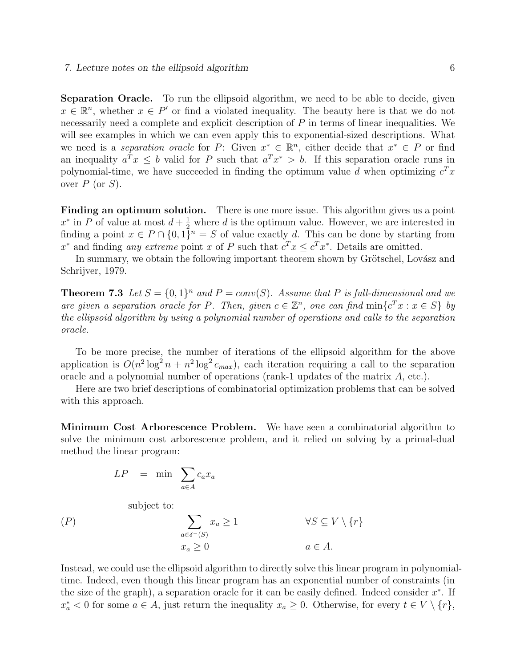Separation Oracle. To run the ellipsoid algorithm, we need to be able to decide, given  $x \in \mathbb{R}^n$ , whether  $x \in P'$  or find a violated inequality. The beauty here is that we do not necessarily need a complete and explicit description of P in terms of linear inequalities. We will see examples in which we can even apply this to exponential-sized descriptions. What we need is a separation oracle for P: Given  $x^* \in \mathbb{R}^n$ , either decide that  $x^* \in P$  or find an inequality  $a^T x \leq b$  valid for P such that  $a^T x^* > b$ . If this separation oracle runs in polynomial-time, we have succeeded in finding the optimum value d when optimizing  $c^T x$ over  $P$  (or  $S$ ).

Finding an optimum solution. There is one more issue. This algorithm gives us a point  $x^*$  in P of value at most  $d + \frac{1}{2}$  where d is the optimum value. However, we are interested in finding a point  $x \in P \cap \{0,1\}^n = S$  of value exactly d. This can be done by starting from  $x^*$  and finding any extreme point x of P such that  $c^T x \leq c^T x^*$ . Details are omitted.

In summary, we obtain the following important theorem shown by Grötschel, Lovász and Schrijver, 1979.

**Theorem 7.3** Let  $S = \{0,1\}^n$  and  $P = conv(S)$ . Assume that P is full-dimensional and we are given a separation oracle for P. Then, given  $c \in \mathbb{Z}^n$ , one can find  $\min\{c^T x : x \in S\}$  by the ellipsoid algorithm by using a polynomial number of operations and calls to the separation oracle.

To be more precise, the number of iterations of the ellipsoid algorithm for the above application is  $O(n^2 \log^2 n + n^2 \log^2 c_{max})$ , each iteration requiring a call to the separation oracle and a polynomial number of operations (rank-1 updates of the matrix A, etc.).

Here are two brief descriptions of combinatorial optimization problems that can be solved with this approach.

Minimum Cost Arborescence Problem. We have seen a combinatorial algorithm to solve the minimum cost arborescence problem, and it relied on solving by a primal-dual method the linear program:

$$
LP = \min \sum_{a \in A} c_a x_a
$$

subject to:

$$
(P) \qquad \sum_{a \in \delta^{-}(S)} x_a \ge 1 \qquad \forall S \subseteq V \setminus \{r\} x_a \ge 0 \qquad a \in A.
$$

Instead, we could use the ellipsoid algorithm to directly solve this linear program in polynomialtime. Indeed, even though this linear program has an exponential number of constraints (in the size of the graph), a separation oracle for it can be easily defined. Indeed consider  $x^*$ . If  $x_a^*$  < 0 for some  $a \in A$ , just return the inequality  $x_a \geq 0$ . Otherwise, for every  $t \in V \setminus \{r\}$ ,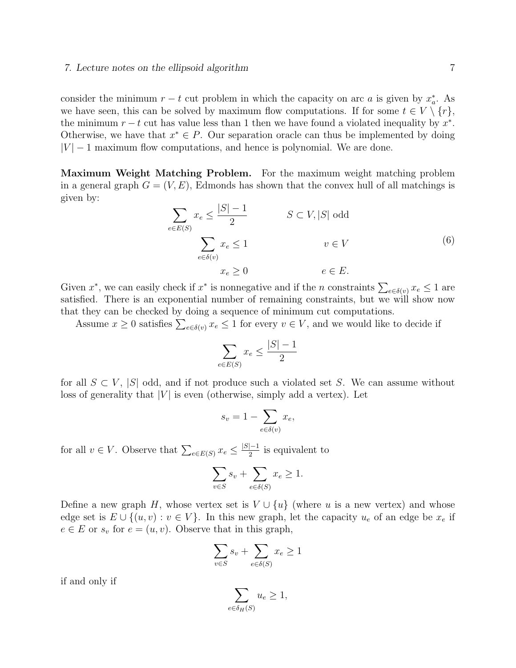consider the minimum  $r - t$  cut problem in which the capacity on arc a is given by  $x_a^*$ . As we have seen, this can be solved by maximum flow computations. If for some  $t \in V \setminus \{r\}$ , the minimum  $r - t$  cut has value less than 1 then we have found a violated inequality by  $x^*$ . Otherwise, we have that  $x^* \in P$ . Our separation oracle can thus be implemented by doing  $|V| - 1$  maximum flow computations, and hence is polynomial. We are done.

Maximum Weight Matching Problem. For the maximum weight matching problem in a general graph  $G = (V, E)$ , Edmonds has shown that the convex hull of all matchings is given by:

$$
\sum_{e \in E(S)} x_e \le \frac{|S| - 1}{2} \qquad S \subset V, |S| \text{ odd}
$$
\n
$$
\sum_{e \in \delta(v)} x_e \le 1 \qquad v \in V
$$
\n
$$
x_e \ge 0 \qquad e \in E.
$$
\n(6)

Given  $x^*$ , we can easily check if  $x^*$  is nonnegative and if the n constraints  $\sum_{e \in \delta(v)} x_e \leq 1$  are satisfied. There is an exponential number of remaining constraints, but we will show now that they can be checked by doing a sequence of minimum cut computations.

Assume  $x \geq 0$  satisfies  $\sum_{e \in \delta(v)} x_e \leq 1$  for every  $v \in V$ , and we would like to decide if

$$
\sum_{e \in E(S)} x_e \le \frac{|S| - 1}{2}
$$

for all  $S \subset V$ ,  $|S|$  odd, and if not produce such a violated set S. We can assume without loss of generality that  $|V|$  is even (otherwise, simply add a vertex). Let

$$
s_v = 1 - \sum_{e \in \delta(v)} x_e,
$$

for all  $v \in V$ . Observe that  $\sum_{e \in E(S)} x_e \leq \frac{|S|-1}{2}$  is equivalent to

$$
\sum_{v \in S} s_v + \sum_{e \in \delta(S)} x_e \ge 1.
$$

Define a new graph H, whose vertex set is  $V \cup \{u\}$  (where u is a new vertex) and whose edge set is  $E \cup \{(u, v) : v \in V\}$ . In this new graph, let the capacity  $u_e$  of an edge be  $x_e$  if  $e \in E$  or  $s_v$  for  $e = (u, v)$ . Observe that in this graph,

$$
\sum_{v \in S} s_v + \sum_{e \in \delta(S)} x_e \ge 1
$$

if and only if

$$
\sum_{e \in \delta_H(S)} u_e \ge 1,
$$